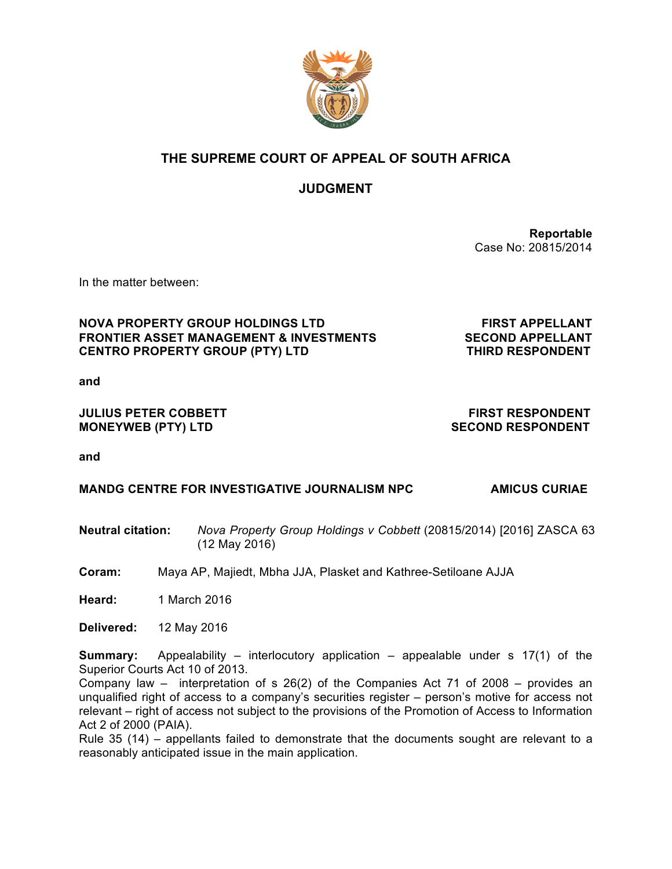

# **THE SUPREME COURT OF APPEAL OF SOUTH AFRICA**

# **JUDGMENT**

**Reportable**  Case No: 20815/2014

In the matter between:

#### **NOVA PROPERTY GROUP HOLDINGS LTD FIRST APPELLANT FRONTIER ASSET MANAGEMENT & INVESTMENTS SECOND APPELLANT CENTRO PROPERTY GROUP (PTY) LTD THIRD RESPONDENT**

**and**

#### **JULIUS PETER COBBETT FIRST RESPONDENT MONEYWEB (PTY) LTD SECOND RESPONDENT**

**and** 

#### **MANDG CENTRE FOR INVESTIGATIVE JOURNALISM NPC AMICUS CURIAE**

- **Neutral citation:** *Nova Property Group Holdings v Cobbett* (20815/2014) [2016] ZASCA 63 (12 May 2016)
- **Coram:** Maya AP, Majiedt, Mbha JJA, Plasket and Kathree-Setiloane AJJA

**Heard:** 1 March 2016

**Delivered:** 12 May 2016

**Summary:** Appealability – interlocutory application – appealable under s 17(1) of the Superior Courts Act 10 of 2013.

Company law – interpretation of s 26(2) of the Companies Act 71 of 2008 – provides an unqualified right of access to a company's securities register – person's motive for access not relevant – right of access not subject to the provisions of the Promotion of Access to Information Act 2 of 2000 (PAIA).

Rule 35 (14) – appellants failed to demonstrate that the documents sought are relevant to a reasonably anticipated issue in the main application.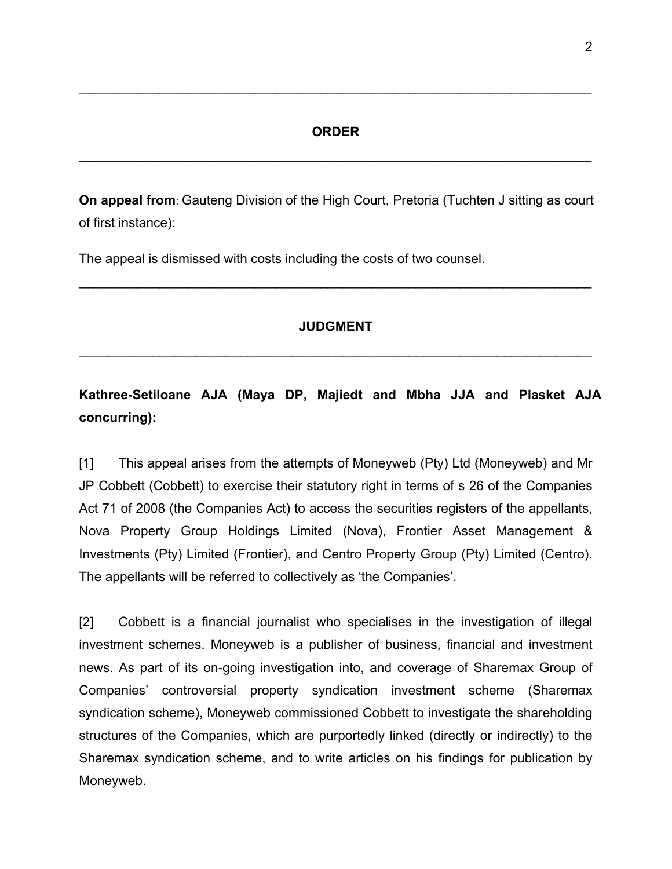#### **ORDER**

\_\_\_\_\_\_\_\_\_\_\_\_\_\_\_\_\_\_\_\_\_\_\_\_\_\_\_\_\_\_\_\_\_\_\_\_\_\_\_\_\_\_\_\_\_\_\_\_\_\_\_\_\_\_\_\_\_\_\_\_\_\_\_\_\_\_\_\_\_\_

\_\_\_\_\_\_\_\_\_\_\_\_\_\_\_\_\_\_\_\_\_\_\_\_\_\_\_\_\_\_\_\_\_\_\_\_\_\_\_\_\_\_\_\_\_\_\_\_\_\_\_\_\_\_\_\_\_\_\_\_\_\_\_\_\_\_\_\_\_\_

**On appeal from**: Gauteng Division of the High Court, Pretoria (Tuchten J sitting as court of first instance):

The appeal is dismissed with costs including the costs of two counsel.

#### **JUDGMENT**

 $\mathcal{L}_\text{max} = \mathcal{L}_\text{max} = \mathcal{L}_\text{max} = \mathcal{L}_\text{max} = \mathcal{L}_\text{max} = \mathcal{L}_\text{max} = \mathcal{L}_\text{max} = \mathcal{L}_\text{max} = \mathcal{L}_\text{max} = \mathcal{L}_\text{max} = \mathcal{L}_\text{max} = \mathcal{L}_\text{max} = \mathcal{L}_\text{max} = \mathcal{L}_\text{max} = \mathcal{L}_\text{max} = \mathcal{L}_\text{max} = \mathcal{L}_\text{max} = \mathcal{L}_\text{max} = \mathcal{$ 

\_\_\_\_\_\_\_\_\_\_\_\_\_\_\_\_\_\_\_\_\_\_\_\_\_\_\_\_\_\_\_\_\_\_\_\_\_\_\_\_\_\_\_\_\_\_\_\_\_\_\_\_\_\_\_\_\_\_\_\_\_\_\_\_\_\_\_\_\_\_

# **Kathree-Setiloane AJA (Maya DP, Majiedt and Mbha JJA and Plasket AJA concurring):**

[1] This appeal arises from the attempts of Moneyweb (Pty) Ltd (Moneyweb) and Mr JP Cobbett (Cobbett) to exercise their statutory right in terms of s 26 of the Companies Act 71 of 2008 (the Companies Act) to access the securities registers of the appellants, Nova Property Group Holdings Limited (Nova), Frontier Asset Management & Investments (Pty) Limited (Frontier), and Centro Property Group (Pty) Limited (Centro). The appellants will be referred to collectively as 'the Companies'.

[2] Cobbett is a financial journalist who specialises in the investigation of illegal investment schemes. Moneyweb is a publisher of business, financial and investment news. As part of its on-going investigation into, and coverage of Sharemax Group of Companies' controversial property syndication investment scheme (Sharemax syndication scheme), Moneyweb commissioned Cobbett to investigate the shareholding structures of the Companies, which are purportedly linked (directly or indirectly) to the Sharemax syndication scheme, and to write articles on his findings for publication by Moneyweb.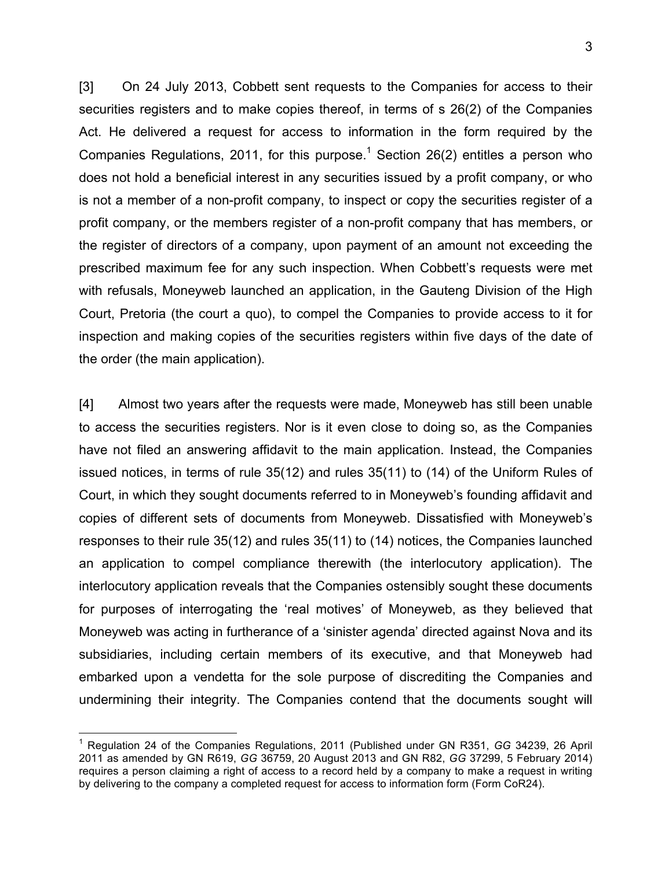[3] On 24 July 2013, Cobbett sent requests to the Companies for access to their securities registers and to make copies thereof, in terms of s 26(2) of the Companies Act. He delivered a request for access to information in the form required by the Companies Regulations, 2011, for this purpose.<sup>1</sup> Section 26(2) entitles a person who does not hold a beneficial interest in any securities issued by a profit company, or who is not a member of a non-profit company, to inspect or copy the securities register of a profit company, or the members register of a non-profit company that has members, or the register of directors of a company, upon payment of an amount not exceeding the prescribed maximum fee for any such inspection. When Cobbett's requests were met with refusals, Moneyweb launched an application, in the Gauteng Division of the High Court, Pretoria (the court a quo), to compel the Companies to provide access to it for inspection and making copies of the securities registers within five days of the date of the order (the main application).

[4] Almost two years after the requests were made, Moneyweb has still been unable to access the securities registers. Nor is it even close to doing so, as the Companies have not filed an answering affidavit to the main application. Instead, the Companies issued notices, in terms of rule 35(12) and rules 35(11) to (14) of the Uniform Rules of Court, in which they sought documents referred to in Moneyweb's founding affidavit and copies of different sets of documents from Moneyweb. Dissatisfied with Moneyweb's responses to their rule 35(12) and rules 35(11) to (14) notices, the Companies launched an application to compel compliance therewith (the interlocutory application). The interlocutory application reveals that the Companies ostensibly sought these documents for purposes of interrogating the 'real motives' of Moneyweb, as they believed that Moneyweb was acting in furtherance of a 'sinister agenda' directed against Nova and its subsidiaries, including certain members of its executive, and that Moneyweb had embarked upon a vendetta for the sole purpose of discrediting the Companies and undermining their integrity. The Companies contend that the documents sought will

 <sup>1</sup> Regulation 24 of the Companies Regulations, 2011 (Published under GN R351, *GG* 34239, 26 April 2011 as amended by GN R619, *GG* 36759, 20 August 2013 and GN R82, *GG* 37299, 5 February 2014) requires a person claiming a right of access to a record held by a company to make a request in writing by delivering to the company a completed request for access to information form (Form CoR24).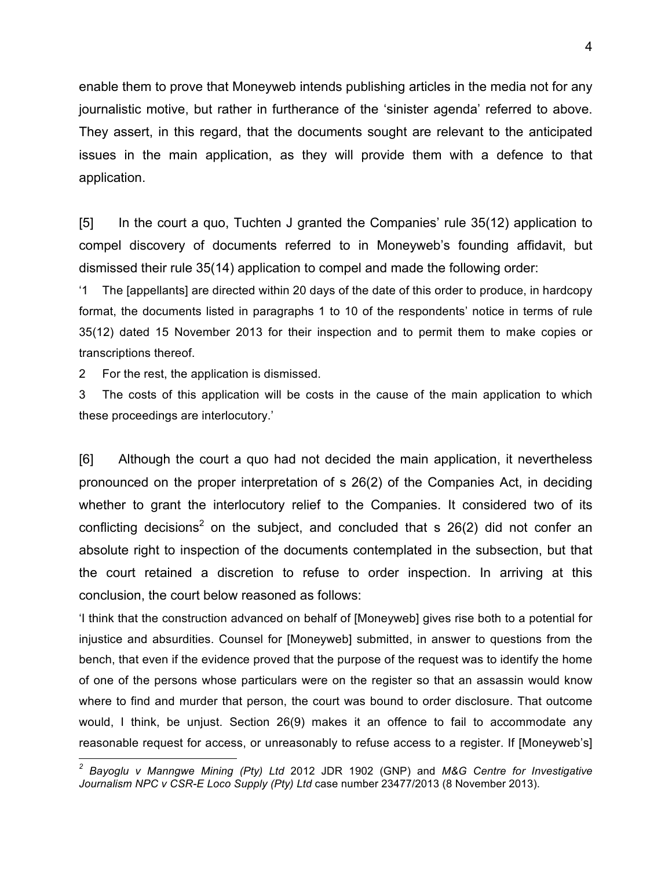enable them to prove that Moneyweb intends publishing articles in the media not for any journalistic motive, but rather in furtherance of the 'sinister agenda' referred to above. They assert, in this regard, that the documents sought are relevant to the anticipated issues in the main application, as they will provide them with a defence to that application.

[5] In the court a quo, Tuchten J granted the Companies' rule 35(12) application to compel discovery of documents referred to in Moneyweb's founding affidavit, but dismissed their rule 35(14) application to compel and made the following order:

'1 The [appellants] are directed within 20 days of the date of this order to produce, in hardcopy format, the documents listed in paragraphs 1 to 10 of the respondents' notice in terms of rule 35(12) dated 15 November 2013 for their inspection and to permit them to make copies or transcriptions thereof.

2 For the rest, the application is dismissed.

3 The costs of this application will be costs in the cause of the main application to which these proceedings are interlocutory.'

[6] Although the court a quo had not decided the main application, it nevertheless pronounced on the proper interpretation of s 26(2) of the Companies Act, in deciding whether to grant the interlocutory relief to the Companies. It considered two of its conflicting decisions<sup>2</sup> on the subject, and concluded that s  $26(2)$  did not confer an absolute right to inspection of the documents contemplated in the subsection, but that the court retained a discretion to refuse to order inspection. In arriving at this conclusion, the court below reasoned as follows:

'I think that the construction advanced on behalf of [Moneyweb] gives rise both to a potential for injustice and absurdities. Counsel for [Moneyweb] submitted, in answer to questions from the bench, that even if the evidence proved that the purpose of the request was to identify the home of one of the persons whose particulars were on the register so that an assassin would know where to find and murder that person, the court was bound to order disclosure. That outcome would, I think, be unjust. Section 26(9) makes it an offence to fail to accommodate any reasonable request for access, or unreasonably to refuse access to a register. If [Moneyweb's]

*<sup>2</sup> Bayoglu v Manngwe Mining (Pty) Ltd* 2012 JDR 1902 (GNP) and *M&G Centre for Investigative Journalism NPC v CSR-E Loco Supply (Pty) Ltd* case number 23477/2013 (8 November 2013).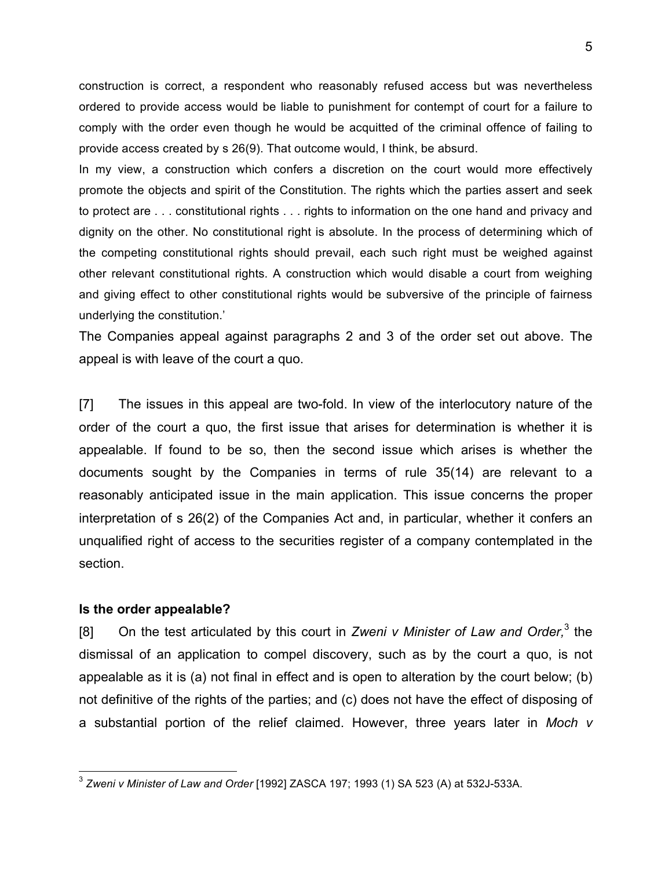construction is correct, a respondent who reasonably refused access but was nevertheless ordered to provide access would be liable to punishment for contempt of court for a failure to comply with the order even though he would be acquitted of the criminal offence of failing to provide access created by s 26(9). That outcome would, I think, be absurd.

In my view, a construction which confers a discretion on the court would more effectively promote the objects and spirit of the Constitution. The rights which the parties assert and seek to protect are . . . constitutional rights . . . rights to information on the one hand and privacy and dignity on the other. No constitutional right is absolute. In the process of determining which of the competing constitutional rights should prevail, each such right must be weighed against other relevant constitutional rights. A construction which would disable a court from weighing and giving effect to other constitutional rights would be subversive of the principle of fairness underlying the constitution.'

The Companies appeal against paragraphs 2 and 3 of the order set out above. The appeal is with leave of the court a quo.

[7] The issues in this appeal are two-fold. In view of the interlocutory nature of the order of the court a quo, the first issue that arises for determination is whether it is appealable. If found to be so, then the second issue which arises is whether the documents sought by the Companies in terms of rule 35(14) are relevant to a reasonably anticipated issue in the main application. This issue concerns the proper interpretation of s 26(2) of the Companies Act and, in particular, whether it confers an unqualified right of access to the securities register of a company contemplated in the section.

#### **Is the order appealable?**

[8] On the test articulated by this court in *Zweni v Minister of Law and Order,*<sup>3</sup> the dismissal of an application to compel discovery, such as by the court a quo, is not appealable as it is (a) not final in effect and is open to alteration by the court below; (b) not definitive of the rights of the parties; and (c) does not have the effect of disposing of a substantial portion of the relief claimed. However, three years later in *Moch v* 

 <sup>3</sup> *Zweni v Minister of Law and Order* [1992] ZASCA 197; 1993 (1) SA 523 (A) at 532J-533A.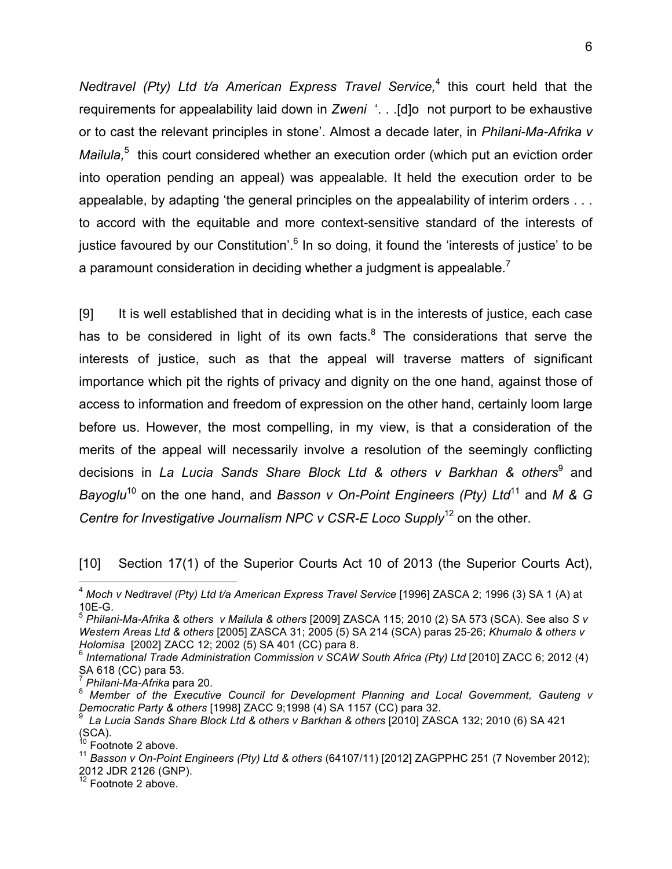*Nedtravel (Pty) Ltd t/a American Express Travel Service,*<sup>4</sup> this court held that the requirements for appealability laid down in *Zweni* '. . .[d]o not purport to be exhaustive or to cast the relevant principles in stone'. Almost a decade later, in *Philani-Ma-Afrika v*  Mailula,<sup>5</sup> this court considered whether an execution order (which put an eviction order into operation pending an appeal) was appealable. It held the execution order to be appealable, by adapting 'the general principles on the appealability of interim orders . . . to accord with the equitable and more context-sensitive standard of the interests of justice favoured by our Constitution'.<sup>6</sup> In so doing, it found the 'interests of justice' to be a paramount consideration in deciding whether a judgment is appealable.<sup>7</sup>

[9] It is well established that in deciding what is in the interests of justice, each case has to be considered in light of its own facts. $8$  The considerations that serve the interests of justice, such as that the appeal will traverse matters of significant importance which pit the rights of privacy and dignity on the one hand, against those of access to information and freedom of expression on the other hand, certainly loom large before us. However, the most compelling, in my view, is that a consideration of the merits of the appeal will necessarily involve a resolution of the seemingly conflicting decisions in *La Lucia Sands Share Block Ltd & others v Barkhan & others*<sup>9</sup> and *Bayoglu*<sup>10</sup> on the one hand, and *Basson v On-Point Engineers (Pty) Ltd*<sup>11</sup> and *M & G Centre for Investigative Journalism NPC v CSR-E Loco Supply*<sup>12</sup> on the other.

[10] Section 17(1) of the Superior Courts Act 10 of 2013 (the Superior Courts Act),

 $\frac{12}{12}$  Footnote 2 above.

 <sup>4</sup> *Moch v Nedtravel (Pty) Ltd t/a American Express Travel Service* [1996] ZASCA 2; 1996 (3) SA 1 (A) at 10E-G. <sup>5</sup> *Philani-Ma-Afrika & others v Mailula & others* [2009] ZASCA 115; 2010 (2) SA 573 (SCA). See also *S v* 

*Western Areas Ltd & others* [2005] ZASCA 31; 2005 (5) SA 214 (SCA) paras 25-26; *Khumalo & others v Holomisa* [2002] ZACC 12; 2002 (5) SA 401 (CC) para 8.<br><sup>6</sup> International Trade Administration Commission v SCAW South Africa (Pty) Ltd [2010] ZACC 6; 2012 (4)

SA 618 (CC) para 53.<br><sup>7</sup> Philani-Ma-Afrika para 20.

<sup>&</sup>lt;sup>8</sup> Member of the Executive Council for Development Planning and Local Government, Gauteng v Democratic Party & others [1998] ZACC 9;1998 (4) SA 1157 (CC) para 32.

<sup>&</sup>lt;sup>9</sup> La Lucia Sands Share Block Ltd & others v Barkhan & others [2010] ZASCA 132; 2010 (6) SA 421<br>(SCA).

<sup>&</sup>lt;sup>10</sup> Footnote 2 above.<br><sup>11</sup> Basson v On-Point Engineers (Pty) Ltd & others (64107/11) [2012] ZAGPPHC 251 (7 November 2012); 2012 JDR 2126 (GNP).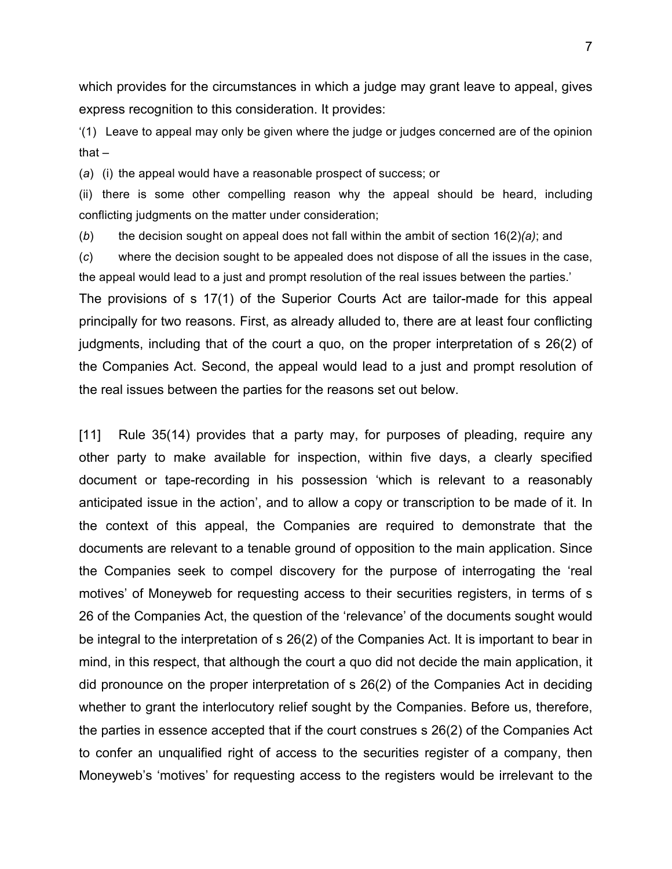which provides for the circumstances in which a judge may grant leave to appeal, gives express recognition to this consideration. It provides:

'(1) Leave to appeal may only be given where the judge or judges concerned are of the opinion that $-$ 

(*a*) (i) the appeal would have a reasonable prospect of success; or

(ii) there is some other compelling reason why the appeal should be heard, including conflicting judgments on the matter under consideration;

(*b*) the decision sought on appeal does not fall within the ambit of section 16(2)*(a)*; and

(*c*) where the decision sought to be appealed does not dispose of all the issues in the case, the appeal would lead to a just and prompt resolution of the real issues between the parties.'

The provisions of s 17(1) of the Superior Courts Act are tailor-made for this appeal principally for two reasons. First, as already alluded to, there are at least four conflicting judgments, including that of the court a quo, on the proper interpretation of s 26(2) of the Companies Act. Second, the appeal would lead to a just and prompt resolution of the real issues between the parties for the reasons set out below.

[11] Rule 35(14) provides that a party may, for purposes of pleading, require any other party to make available for inspection, within five days, a clearly specified document or tape-recording in his possession 'which is relevant to a reasonably anticipated issue in the action', and to allow a copy or transcription to be made of it. In the context of this appeal, the Companies are required to demonstrate that the documents are relevant to a tenable ground of opposition to the main application. Since the Companies seek to compel discovery for the purpose of interrogating the 'real motives' of Moneyweb for requesting access to their securities registers, in terms of s 26 of the Companies Act, the question of the 'relevance' of the documents sought would be integral to the interpretation of s 26(2) of the Companies Act. It is important to bear in mind, in this respect, that although the court a quo did not decide the main application, it did pronounce on the proper interpretation of s 26(2) of the Companies Act in deciding whether to grant the interlocutory relief sought by the Companies. Before us, therefore, the parties in essence accepted that if the court construes s 26(2) of the Companies Act to confer an unqualified right of access to the securities register of a company, then Moneyweb's 'motives' for requesting access to the registers would be irrelevant to the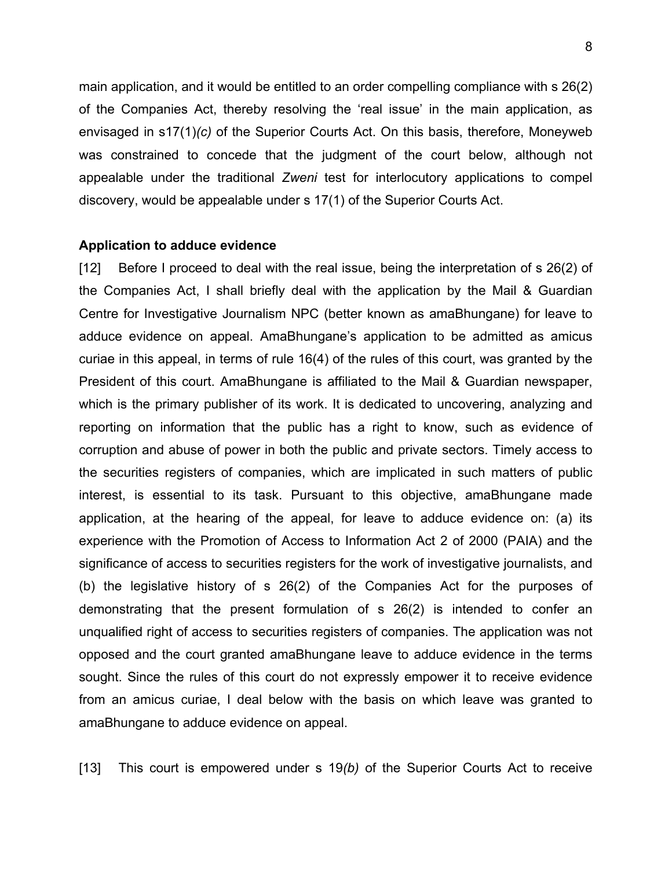main application, and it would be entitled to an order compelling compliance with s 26(2) of the Companies Act, thereby resolving the 'real issue' in the main application, as envisaged in s17(1)*(c)* of the Superior Courts Act. On this basis, therefore, Moneyweb was constrained to concede that the judgment of the court below, although not appealable under the traditional *Zweni* test for interlocutory applications to compel discovery, would be appealable under s 17(1) of the Superior Courts Act.

#### **Application to adduce evidence**

[12] Before I proceed to deal with the real issue, being the interpretation of s 26(2) of the Companies Act, I shall briefly deal with the application by the Mail & Guardian Centre for Investigative Journalism NPC (better known as amaBhungane) for leave to adduce evidence on appeal. AmaBhungane's application to be admitted as amicus curiae in this appeal, in terms of rule 16(4) of the rules of this court, was granted by the President of this court. AmaBhungane is affiliated to the Mail & Guardian newspaper, which is the primary publisher of its work. It is dedicated to uncovering, analyzing and reporting on information that the public has a right to know, such as evidence of corruption and abuse of power in both the public and private sectors. Timely access to the securities registers of companies, which are implicated in such matters of public interest, is essential to its task. Pursuant to this objective, amaBhungane made application, at the hearing of the appeal, for leave to adduce evidence on: (a) its experience with the Promotion of Access to Information Act 2 of 2000 (PAIA) and the significance of access to securities registers for the work of investigative journalists, and (b) the legislative history of s 26(2) of the Companies Act for the purposes of demonstrating that the present formulation of s 26(2) is intended to confer an unqualified right of access to securities registers of companies. The application was not opposed and the court granted amaBhungane leave to adduce evidence in the terms sought. Since the rules of this court do not expressly empower it to receive evidence from an amicus curiae, I deal below with the basis on which leave was granted to amaBhungane to adduce evidence on appeal.

[13] This court is empowered under s 19*(b)* of the Superior Courts Act to receive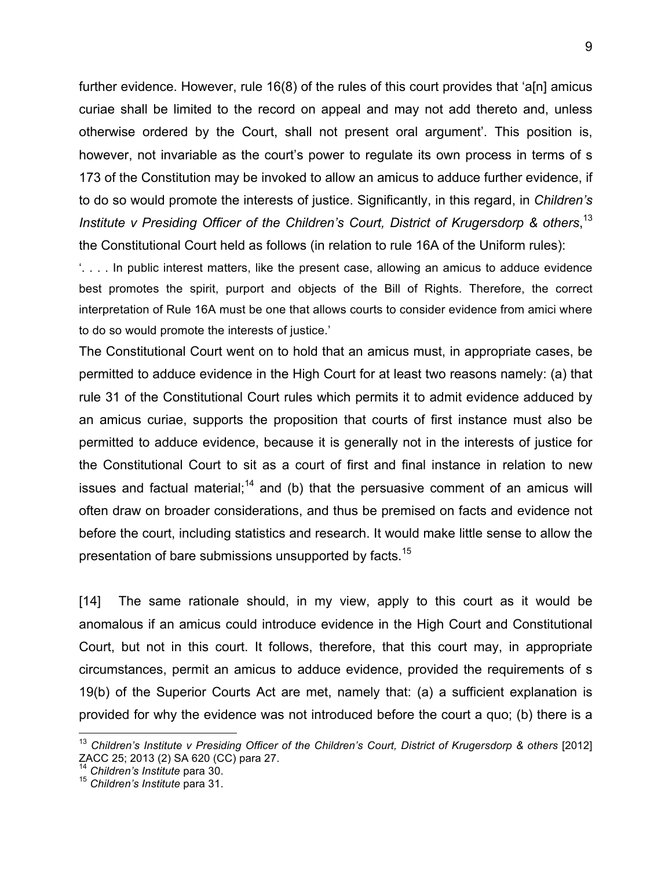further evidence. However, rule 16(8) of the rules of this court provides that 'a[n] amicus curiae shall be limited to the record on appeal and may not add thereto and, unless otherwise ordered by the Court, shall not present oral argument'. This position is, however, not invariable as the court's power to regulate its own process in terms of s 173 of the Constitution may be invoked to allow an amicus to adduce further evidence, if to do so would promote the interests of justice. Significantly, in this regard, in *Children's Institute v Presiding Officer of the Children's Court, District of Krugersdorp & others*, 13 the Constitutional Court held as follows (in relation to rule 16A of the Uniform rules):

'. . . . In public interest matters, like the present case, allowing an amicus to adduce evidence best promotes the spirit, purport and objects of the Bill of Rights. Therefore, the correct interpretation of Rule 16A must be one that allows courts to consider evidence from amici where to do so would promote the interests of justice.'

The Constitutional Court went on to hold that an amicus must, in appropriate cases, be permitted to adduce evidence in the High Court for at least two reasons namely: (a) that rule 31 of the Constitutional Court rules which permits it to admit evidence adduced by an amicus curiae, supports the proposition that courts of first instance must also be permitted to adduce evidence, because it is generally not in the interests of justice for the Constitutional Court to sit as a court of first and final instance in relation to new issues and factual material;<sup>14</sup> and (b) that the persuasive comment of an amicus will often draw on broader considerations, and thus be premised on facts and evidence not before the court, including statistics and research. It would make little sense to allow the presentation of bare submissions unsupported by facts.<sup>15</sup>

[14] The same rationale should, in my view, apply to this court as it would be anomalous if an amicus could introduce evidence in the High Court and Constitutional Court, but not in this court. It follows, therefore, that this court may, in appropriate circumstances, permit an amicus to adduce evidence, provided the requirements of s 19(b) of the Superior Courts Act are met, namely that: (a) a sufficient explanation is provided for why the evidence was not introduced before the court a quo; (b) there is a

 <sup>13</sup> *Children's Institute v Presiding Officer of the Children's Court, District of Krugersdorp & others* [2012] ZACC 25; 2013 (2) SA 620 (CC) para 27.<br><sup>14</sup> Children's Institute para 30.

<sup>14</sup> *Children's Institute* para 30. <sup>15</sup> *Children's Institute* para 31.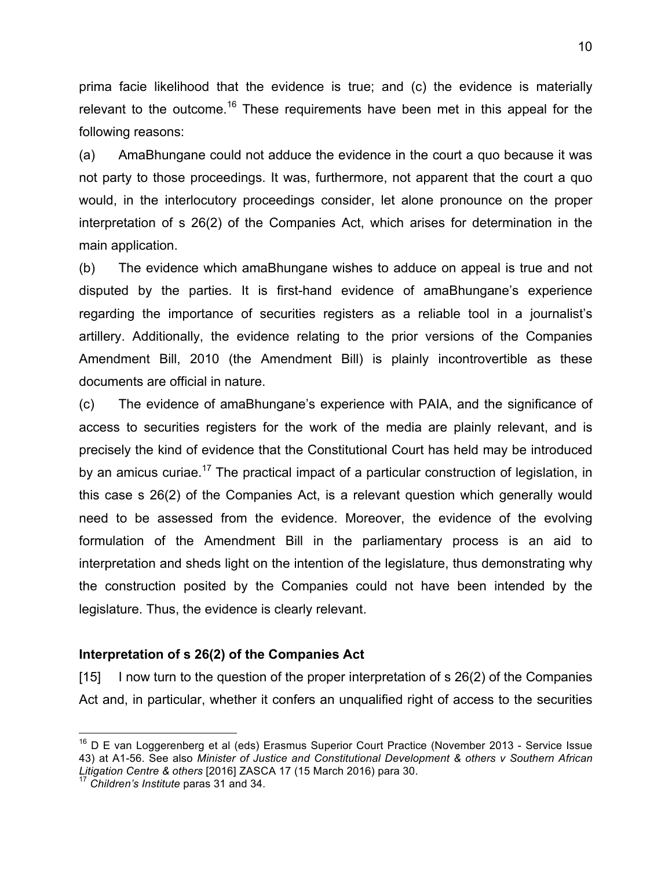prima facie likelihood that the evidence is true; and (c) the evidence is materially relevant to the outcome.<sup>16</sup> These requirements have been met in this appeal for the following reasons:

(a) AmaBhungane could not adduce the evidence in the court a quo because it was not party to those proceedings. It was, furthermore, not apparent that the court a quo would, in the interlocutory proceedings consider, let alone pronounce on the proper interpretation of s 26(2) of the Companies Act, which arises for determination in the main application.

(b) The evidence which amaBhungane wishes to adduce on appeal is true and not disputed by the parties. It is first-hand evidence of amaBhungane's experience regarding the importance of securities registers as a reliable tool in a journalist's artillery. Additionally, the evidence relating to the prior versions of the Companies Amendment Bill, 2010 (the Amendment Bill) is plainly incontrovertible as these documents are official in nature.

(c) The evidence of amaBhungane's experience with PAIA, and the significance of access to securities registers for the work of the media are plainly relevant, and is precisely the kind of evidence that the Constitutional Court has held may be introduced by an amicus curiae.<sup>17</sup> The practical impact of a particular construction of legislation, in this case s 26(2) of the Companies Act, is a relevant question which generally would need to be assessed from the evidence. Moreover, the evidence of the evolving formulation of the Amendment Bill in the parliamentary process is an aid to interpretation and sheds light on the intention of the legislature, thus demonstrating why the construction posited by the Companies could not have been intended by the legislature. Thus, the evidence is clearly relevant.

#### **Interpretation of s 26(2) of the Companies Act**

[15] I now turn to the question of the proper interpretation of s 26(2) of the Companies Act and, in particular, whether it confers an unqualified right of access to the securities

<sup>&</sup>lt;sup>16</sup> D E van Loggerenberg et al (eds) Erasmus Superior Court Practice (November 2013 - Service Issue 43) at A1-56. See also *Minister of Justice and Constitutional Development & others v Southern African Litigation Centre & others* [2016] ZASCA 17 (15 March 2016) para 30. <sup>17</sup> *Children's Institute* paras 31 and 34.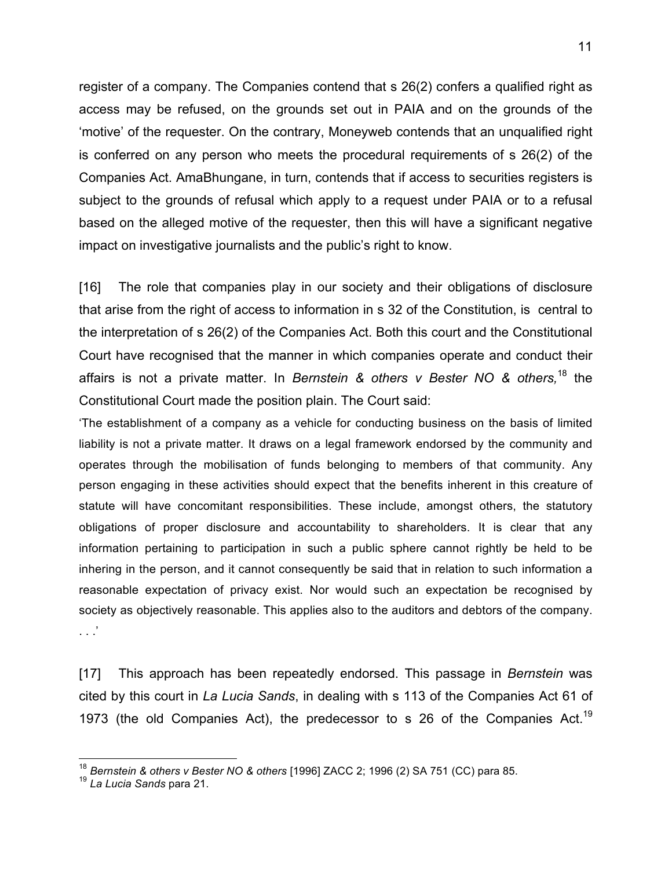register of a company. The Companies contend that s 26(2) confers a qualified right as access may be refused, on the grounds set out in PAIA and on the grounds of the 'motive' of the requester. On the contrary, Moneyweb contends that an unqualified right is conferred on any person who meets the procedural requirements of s 26(2) of the Companies Act. AmaBhungane, in turn, contends that if access to securities registers is subject to the grounds of refusal which apply to a request under PAIA or to a refusal based on the alleged motive of the requester, then this will have a significant negative impact on investigative journalists and the public's right to know.

[16] The role that companies play in our society and their obligations of disclosure that arise from the right of access to information in s 32 of the Constitution, is central to the interpretation of s 26(2) of the Companies Act. Both this court and the Constitutional Court have recognised that the manner in which companies operate and conduct their affairs is not a private matter. In *Bernstein & others v Bester NO & others,* <sup>18</sup> the Constitutional Court made the position plain. The Court said:

'The establishment of a company as a vehicle for conducting business on the basis of limited liability is not a private matter. It draws on a legal framework endorsed by the community and operates through the mobilisation of funds belonging to members of that community. Any person engaging in these activities should expect that the benefits inherent in this creature of statute will have concomitant responsibilities. These include, amongst others, the statutory obligations of proper disclosure and accountability to shareholders. It is clear that any information pertaining to participation in such a public sphere cannot rightly be held to be inhering in the person, and it cannot consequently be said that in relation to such information a reasonable expectation of privacy exist. Nor would such an expectation be recognised by society as objectively reasonable. This applies also to the auditors and debtors of the company. . . .'

[17] This approach has been repeatedly endorsed. This passage in *Bernstein* was cited by this court in *La Lucia Sands*, in dealing with s 113 of the Companies Act 61 of 1973 (the old Companies Act), the predecessor to s 26 of the Companies Act.<sup>19</sup>

<sup>18</sup> *Bernstein & others v Bester NO & others* [1996] ZACC 2; 1996 (2) SA 751 (CC) para 85. <sup>19</sup> *La Lucia Sands* para 21.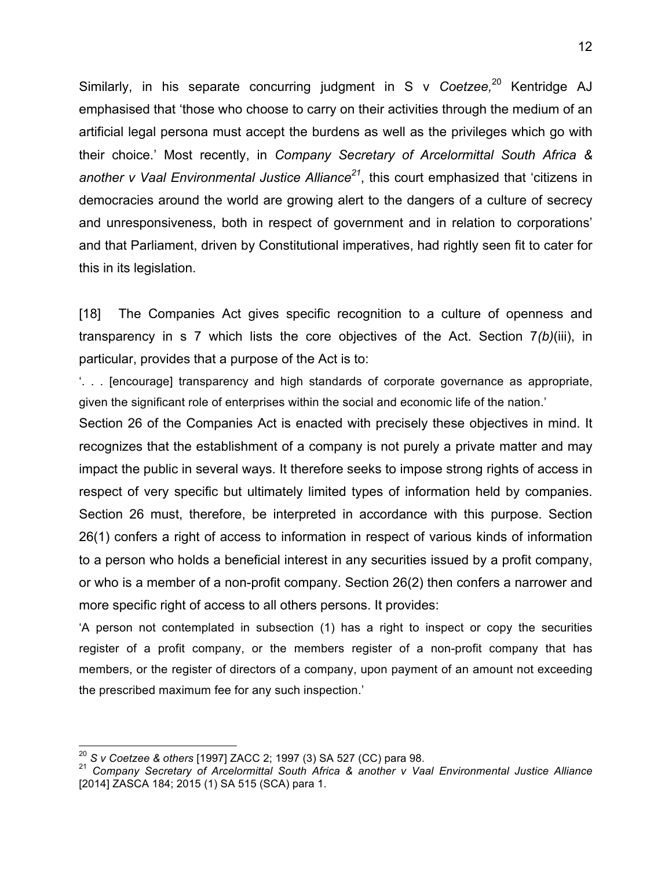Similarly, in his separate concurring judgment in S v *Coetzee,* <sup>20</sup> Kentridge AJ emphasised that 'those who choose to carry on their activities through the medium of an artificial legal persona must accept the burdens as well as the privileges which go with their choice.' Most recently, in *Company Secretary of Arcelormittal South Africa & another v Vaal Environmental Justice Alliance21*, this court emphasized that 'citizens in democracies around the world are growing alert to the dangers of a culture of secrecy and unresponsiveness, both in respect of government and in relation to corporations' and that Parliament, driven by Constitutional imperatives, had rightly seen fit to cater for this in its legislation.

[18] The Companies Act gives specific recognition to a culture of openness and transparency in s 7 which lists the core objectives of the Act. Section 7*(b)*(iii), in particular, provides that a purpose of the Act is to:

'. . . [encourage] transparency and high standards of corporate governance as appropriate, given the significant role of enterprises within the social and economic life of the nation.'

Section 26 of the Companies Act is enacted with precisely these objectives in mind. It recognizes that the establishment of a company is not purely a private matter and may impact the public in several ways. It therefore seeks to impose strong rights of access in respect of very specific but ultimately limited types of information held by companies. Section 26 must, therefore, be interpreted in accordance with this purpose. Section 26(1) confers a right of access to information in respect of various kinds of information to a person who holds a beneficial interest in any securities issued by a profit company, or who is a member of a non-profit company. Section 26(2) then confers a narrower and more specific right of access to all others persons. It provides:

'A person not contemplated in subsection (1) has a right to inspect or copy the securities register of a profit company, or the members register of a non-profit company that has members, or the register of directors of a company, upon payment of an amount not exceeding the prescribed maximum fee for any such inspection.'

<sup>&</sup>lt;sup>20</sup> S v Coetzee & others [1997] ZACC 2; 1997 (3) SA 527 (CC) para 98.<br><sup>21</sup> Company Secretary of Arcelormittal South Africa & another v Vaal Environmental Justice Alliance [2014] ZASCA 184; 2015 (1) SA 515 (SCA) para 1.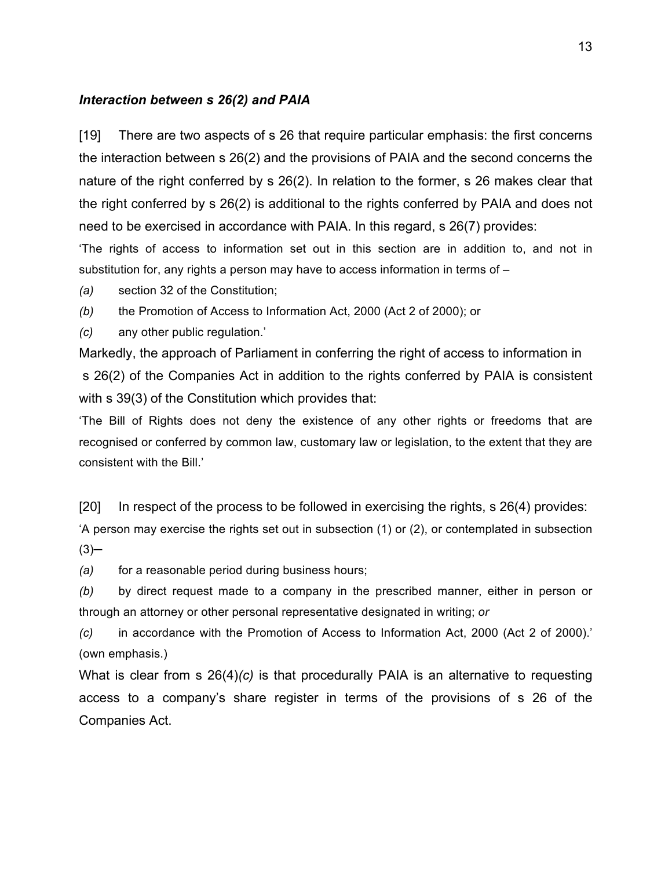#### *Interaction between s 26(2) and PAIA*

[19] There are two aspects of s 26 that require particular emphasis: the first concerns the interaction between s 26(2) and the provisions of PAIA and the second concerns the nature of the right conferred by s 26(2). In relation to the former, s 26 makes clear that the right conferred by s 26(2) is additional to the rights conferred by PAIA and does not need to be exercised in accordance with PAIA. In this regard, s 26(7) provides:

'The rights of access to information set out in this section are in addition to, and not in substitution for, any rights a person may have to access information in terms of –

*(a)* section 32 of the Constitution;

*(b)* the Promotion of Access to Information Act, 2000 (Act 2 of 2000); or

*(c)* any other public regulation.'

Markedly, the approach of Parliament in conferring the right of access to information in s 26(2) of the Companies Act in addition to the rights conferred by PAIA is consistent with s 39(3) of the Constitution which provides that:

'The Bill of Rights does not deny the existence of any other rights or freedoms that are recognised or conferred by common law, customary law or legislation, to the extent that they are consistent with the Bill.'

[20] In respect of the process to be followed in exercising the rights, s 26(4) provides:

'A person may exercise the rights set out in subsection (1) or (2), or contemplated in subsection  $(3)$ 

*(a)* for a reasonable period during business hours;

*(b)* by direct request made to a company in the prescribed manner, either in person or through an attorney or other personal representative designated in writing; *or*

*(c)* in accordance with the Promotion of Access to Information Act, 2000 (Act 2 of 2000).' (own emphasis.)

What is clear from s 26(4)*(c)* is that procedurally PAIA is an alternative to requesting access to a company's share register in terms of the provisions of s 26 of the Companies Act.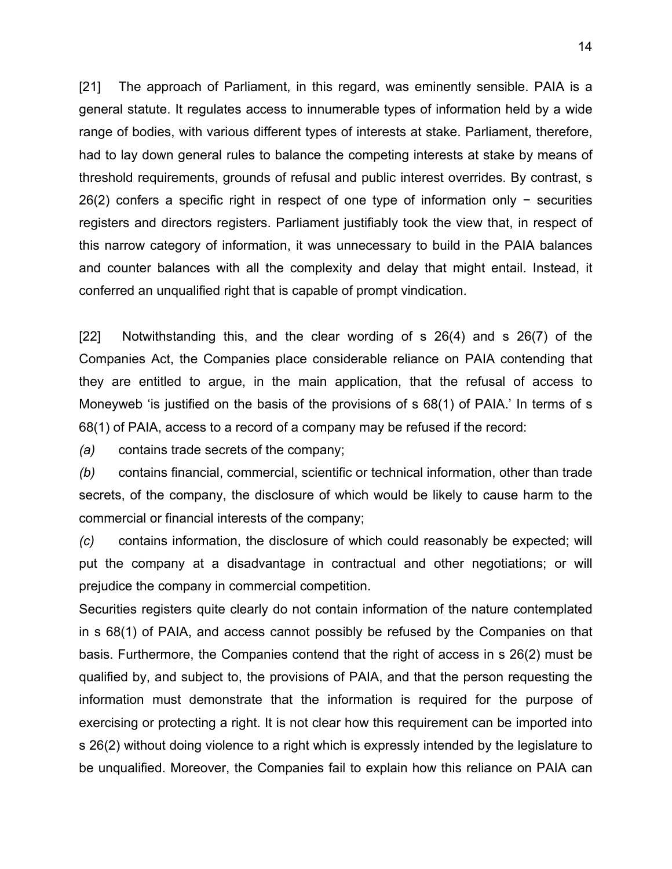[21] The approach of Parliament, in this regard, was eminently sensible. PAIA is a general statute. It regulates access to innumerable types of information held by a wide range of bodies, with various different types of interests at stake. Parliament, therefore, had to lay down general rules to balance the competing interests at stake by means of threshold requirements, grounds of refusal and public interest overrides. By contrast, s 26(2) confers a specific right in respect of one type of information only − securities registers and directors registers. Parliament justifiably took the view that, in respect of this narrow category of information, it was unnecessary to build in the PAIA balances and counter balances with all the complexity and delay that might entail. Instead, it conferred an unqualified right that is capable of prompt vindication.

[22] Notwithstanding this, and the clear wording of s 26(4) and s 26(7) of the Companies Act, the Companies place considerable reliance on PAIA contending that they are entitled to argue, in the main application, that the refusal of access to Moneyweb 'is justified on the basis of the provisions of s 68(1) of PAIA.' In terms of s 68(1) of PAIA, access to a record of a company may be refused if the record:

*(a)* contains trade secrets of the company;

*(b)* contains financial, commercial, scientific or technical information, other than trade secrets, of the company, the disclosure of which would be likely to cause harm to the commercial or financial interests of the company;

*(c)* contains information, the disclosure of which could reasonably be expected; will put the company at a disadvantage in contractual and other negotiations; or will prejudice the company in commercial competition.

Securities registers quite clearly do not contain information of the nature contemplated in s 68(1) of PAIA, and access cannot possibly be refused by the Companies on that basis. Furthermore, the Companies contend that the right of access in s 26(2) must be qualified by, and subject to, the provisions of PAIA, and that the person requesting the information must demonstrate that the information is required for the purpose of exercising or protecting a right. It is not clear how this requirement can be imported into s 26(2) without doing violence to a right which is expressly intended by the legislature to be unqualified. Moreover, the Companies fail to explain how this reliance on PAIA can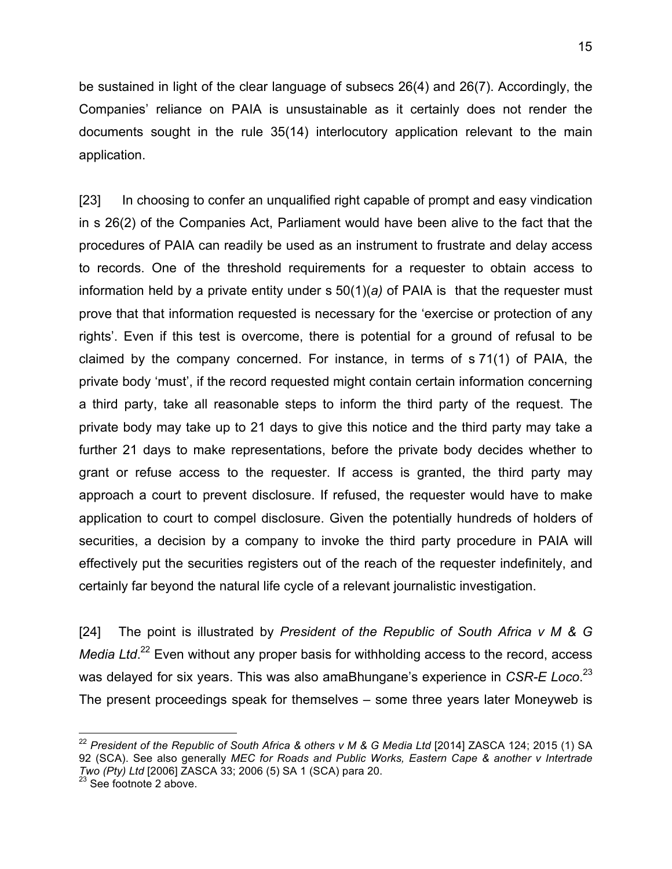be sustained in light of the clear language of subsecs 26(4) and 26(7). Accordingly, the Companies' reliance on PAIA is unsustainable as it certainly does not render the documents sought in the rule 35(14) interlocutory application relevant to the main application.

[23] In choosing to confer an unqualified right capable of prompt and easy vindication in s 26(2) of the Companies Act, Parliament would have been alive to the fact that the procedures of PAIA can readily be used as an instrument to frustrate and delay access to records. One of the threshold requirements for a requester to obtain access to information held by a private entity under s 50(1)(*a)* of PAIA is that the requester must prove that that information requested is necessary for the 'exercise or protection of any rights'. Even if this test is overcome, there is potential for a ground of refusal to be claimed by the company concerned. For instance, in terms of s 71(1) of PAIA, the private body 'must', if the record requested might contain certain information concerning a third party, take all reasonable steps to inform the third party of the request. The private body may take up to 21 days to give this notice and the third party may take a further 21 days to make representations, before the private body decides whether to grant or refuse access to the requester. If access is granted, the third party may approach a court to prevent disclosure. If refused, the requester would have to make application to court to compel disclosure. Given the potentially hundreds of holders of securities, a decision by a company to invoke the third party procedure in PAIA will effectively put the securities registers out of the reach of the requester indefinitely, and certainly far beyond the natural life cycle of a relevant journalistic investigation.

[24] The point is illustrated by *President of the Republic of South Africa v M & G*  Media Ltd.<sup>22</sup> Even without any proper basis for withholding access to the record, access was delayed for six years. This was also amaBhungane's experience in *CSR-E Loco*. 23 The present proceedings speak for themselves – some three years later Moneyweb is

<sup>&</sup>lt;sup>22</sup> President of the Republic of South Africa & others v M & G Media Ltd [2014] ZASCA 124; 2015 (1) SA 92 (SCA). See also generally *MEC for Roads and Public Works, Eastern Cape & another v Intertrade Two (Pty) Ltd* [2006] ZASCA 33; 2006 (5) SA 1 (SCA) para 20.<br><sup>23</sup> See footnote 2 above.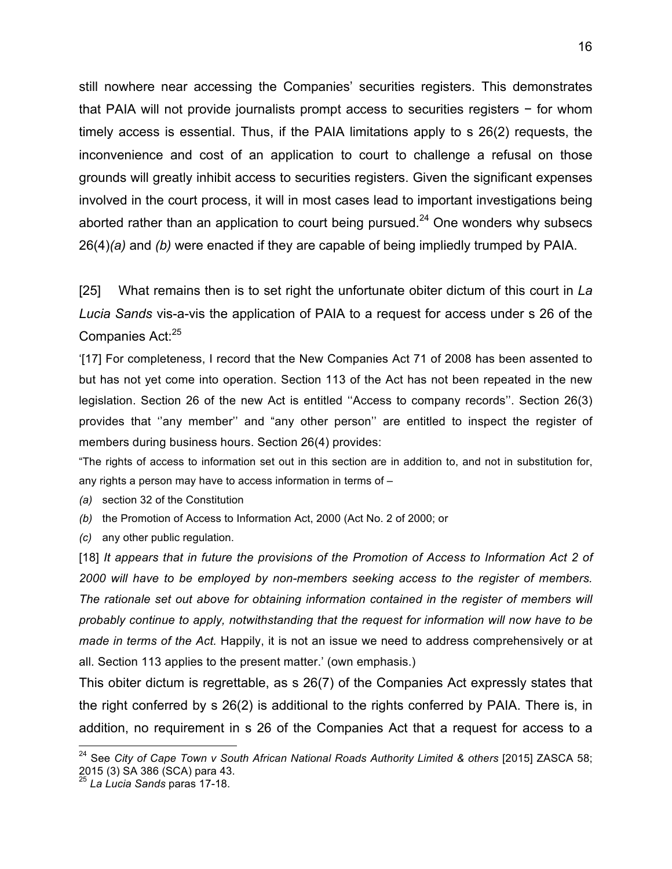still nowhere near accessing the Companies' securities registers. This demonstrates that PAIA will not provide journalists prompt access to securities registers − for whom timely access is essential. Thus, if the PAIA limitations apply to s 26(2) requests, the inconvenience and cost of an application to court to challenge a refusal on those grounds will greatly inhibit access to securities registers. Given the significant expenses involved in the court process, it will in most cases lead to important investigations being aborted rather than an application to court being pursued.<sup>24</sup> One wonders why subsecs 26(4)*(a)* and *(b)* were enacted if they are capable of being impliedly trumped by PAIA.

[25] What remains then is to set right the unfortunate obiter dictum of this court in *La Lucia Sands* vis-a-vis the application of PAIA to a request for access under s 26 of the Companies Act:<sup>25</sup>

'[17] For completeness, I record that the New Companies Act 71 of 2008 has been assented to but has not yet come into operation. Section 113 of the Act has not been repeated in the new legislation. Section 26 of the new Act is entitled ''Access to company records''. Section 26(3) provides that ''any member'' and "any other person'' are entitled to inspect the register of members during business hours. Section 26(4) provides:

"The rights of access to information set out in this section are in addition to, and not in substitution for, any rights a person may have to access information in terms of –

*(a)* section 32 of the Constitution

*(b)* the Promotion of Access to Information Act, 2000 (Act No. 2 of 2000; or

*(c)* any other public regulation.

[18] *It appears that in future the provisions of the Promotion of Access to Information Act 2 of 2000 will have to be employed by non-members seeking access to the register of members. The rationale set out above for obtaining information contained in the register of members will probably continue to apply, notwithstanding that the request for information will now have to be made in terms of the Act.* Happily, it is not an issue we need to address comprehensively or at all. Section 113 applies to the present matter.' (own emphasis.)

This obiter dictum is regrettable, as s 26(7) of the Companies Act expressly states that the right conferred by s 26(2) is additional to the rights conferred by PAIA. There is, in addition, no requirement in s 26 of the Companies Act that a request for access to a

 <sup>24</sup> See *City of Cape Town v South African National Roads Authority Limited & others* [2015] ZASCA 58; 2015 (3) SA 386 (SCA) para 43.

<sup>25</sup> *La Lucia Sands* paras 17-18.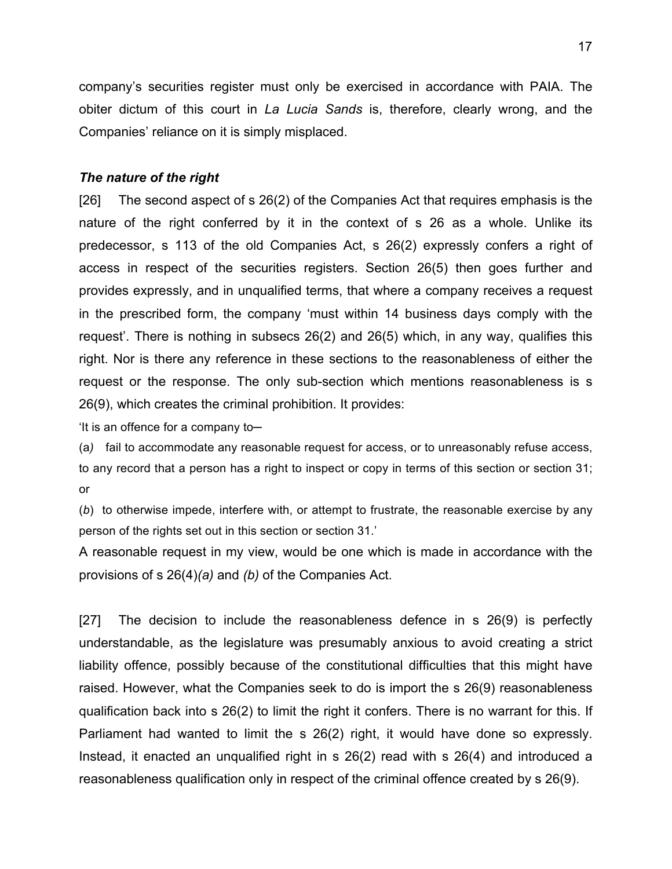company's securities register must only be exercised in accordance with PAIA. The obiter dictum of this court in *La Lucia Sands* is, therefore, clearly wrong, and the Companies' reliance on it is simply misplaced.

### *The nature of the right*

[26] The second aspect of s 26(2) of the Companies Act that requires emphasis is the nature of the right conferred by it in the context of s 26 as a whole. Unlike its predecessor, s 113 of the old Companies Act, s 26(2) expressly confers a right of access in respect of the securities registers. Section 26(5) then goes further and provides expressly, and in unqualified terms, that where a company receives a request in the prescribed form, the company 'must within 14 business days comply with the request'. There is nothing in subsecs 26(2) and 26(5) which, in any way, qualifies this right. Nor is there any reference in these sections to the reasonableness of either the request or the response. The only sub-section which mentions reasonableness is s 26(9), which creates the criminal prohibition. It provides:

'It is an offence for a company to─

(a*)* fail to accommodate any reasonable request for access, or to unreasonably refuse access, to any record that a person has a right to inspect or copy in terms of this section or section 31; or

(*b*) to otherwise impede, interfere with, or attempt to frustrate, the reasonable exercise by any person of the rights set out in this section or section 31.'

A reasonable request in my view, would be one which is made in accordance with the provisions of s 26(4)*(a)* and *(b)* of the Companies Act.

[27] The decision to include the reasonableness defence in s 26(9) is perfectly understandable, as the legislature was presumably anxious to avoid creating a strict liability offence, possibly because of the constitutional difficulties that this might have raised. However, what the Companies seek to do is import the s 26(9) reasonableness qualification back into s 26(2) to limit the right it confers. There is no warrant for this. If Parliament had wanted to limit the s 26(2) right, it would have done so expressly. Instead, it enacted an unqualified right in s 26(2) read with s 26(4) and introduced a reasonableness qualification only in respect of the criminal offence created by s 26(9).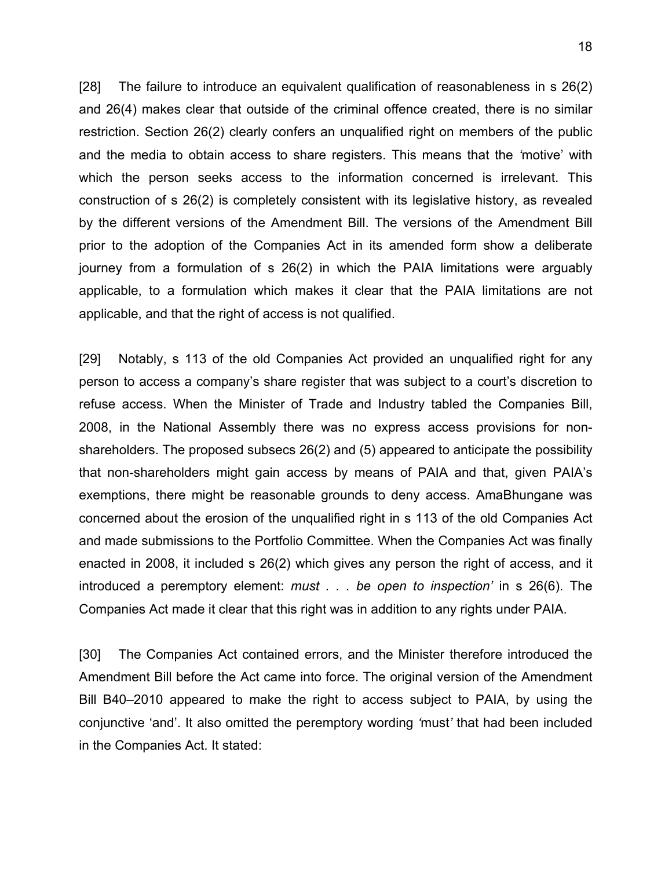[28] The failure to introduce an equivalent qualification of reasonableness in s 26(2) and 26(4) makes clear that outside of the criminal offence created, there is no similar restriction. Section 26(2) clearly confers an unqualified right on members of the public and the media to obtain access to share registers. This means that the *'*motive' with which the person seeks access to the information concerned is irrelevant. This construction of s 26(2) is completely consistent with its legislative history, as revealed by the different versions of the Amendment Bill. The versions of the Amendment Bill prior to the adoption of the Companies Act in its amended form show a deliberate journey from a formulation of s 26(2) in which the PAIA limitations were arguably applicable, to a formulation which makes it clear that the PAIA limitations are not applicable, and that the right of access is not qualified.

[29] Notably, s 113 of the old Companies Act provided an unqualified right for any person to access a company's share register that was subject to a court's discretion to refuse access. When the Minister of Trade and Industry tabled the Companies Bill, 2008, in the National Assembly there was no express access provisions for nonshareholders. The proposed subsecs 26(2) and (5) appeared to anticipate the possibility that non-shareholders might gain access by means of PAIA and that, given PAIA's exemptions, there might be reasonable grounds to deny access. AmaBhungane was concerned about the erosion of the unqualified right in s 113 of the old Companies Act and made submissions to the Portfolio Committee. When the Companies Act was finally enacted in 2008, it included s 26(2) which gives any person the right of access, and it introduced a peremptory element: *must . . . be open to inspection'* in s 26(6). The Companies Act made it clear that this right was in addition to any rights under PAIA.

[30] The Companies Act contained errors, and the Minister therefore introduced the Amendment Bill before the Act came into force. The original version of the Amendment Bill B40–2010 appeared to make the right to access subject to PAIA, by using the conjunctive 'and'. It also omitted the peremptory wording *'*must*'* that had been included in the Companies Act. It stated: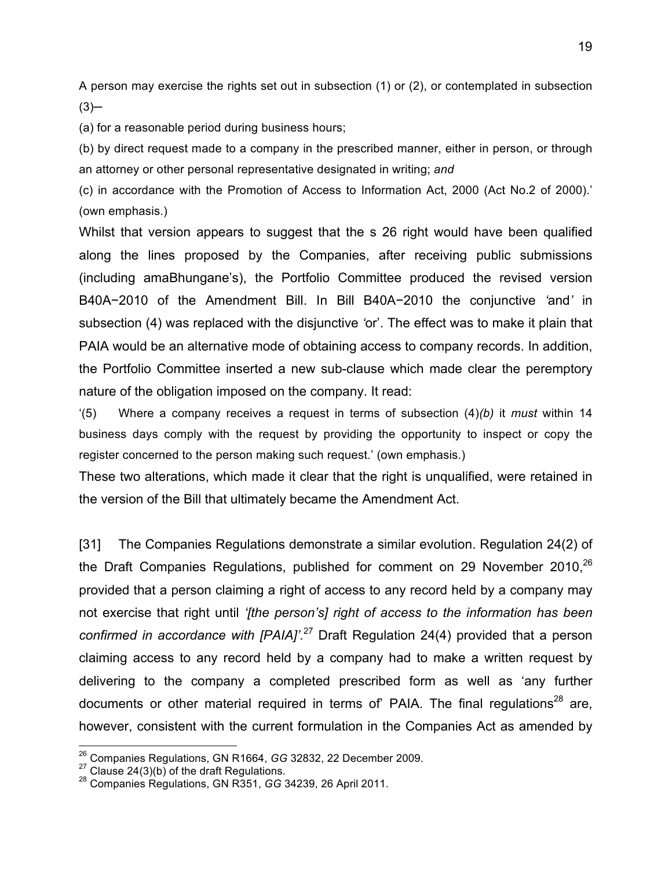A person may exercise the rights set out in subsection (1) or (2), or contemplated in subsection  $(3)$ 

(a) for a reasonable period during business hours;

(b) by direct request made to a company in the prescribed manner, either in person, or through an attorney or other personal representative designated in writing; *and*

(c) in accordance with the Promotion of Access to Information Act, 2000 (Act No.2 of 2000).' (own emphasis.)

Whilst that version appears to suggest that the s 26 right would have been qualified along the lines proposed by the Companies, after receiving public submissions (including amaBhungane's), the Portfolio Committee produced the revised version B40A−2010 of the Amendment Bill. In Bill B40A−2010 the conjunctive *'*and*'* in subsection (4) was replaced with the disjunctive *'*or'. The effect was to make it plain that PAIA would be an alternative mode of obtaining access to company records. In addition, the Portfolio Committee inserted a new sub-clause which made clear the peremptory nature of the obligation imposed on the company. It read:

'(5) Where a company receives a request in terms of subsection (4)*(b)* it *must* within 14 business days comply with the request by providing the opportunity to inspect or copy the register concerned to the person making such request.' (own emphasis.)

These two alterations, which made it clear that the right is unqualified, were retained in the version of the Bill that ultimately became the Amendment Act.

[31] The Companies Regulations demonstrate a similar evolution. Regulation 24(2) of the Draft Companies Regulations, published for comment on 29 November 2010,<sup>26</sup> provided that a person claiming a right of access to any record held by a company may not exercise that right until *'[the person's] right of access to the information has been confirmed in accordance with [PAIA]'.*<sup>27</sup> Draft Regulation 24(4) provided that a person claiming access to any record held by a company had to make a written request by delivering to the company a completed prescribed form as well as 'any further documents or other material required in terms of' PAIA. The final regulations $^{28}$  are, however, consistent with the current formulation in the Companies Act as amended by

<sup>&</sup>lt;sup>26</sup> Companies Regulations, GN R1664, GG 32832, 22 December 2009.<br><sup>27</sup> Clause 24(3)(b) of the draft Regulations.

<sup>28</sup> Companies Regulations, GN R351, *GG* 34239, 26 April 2011.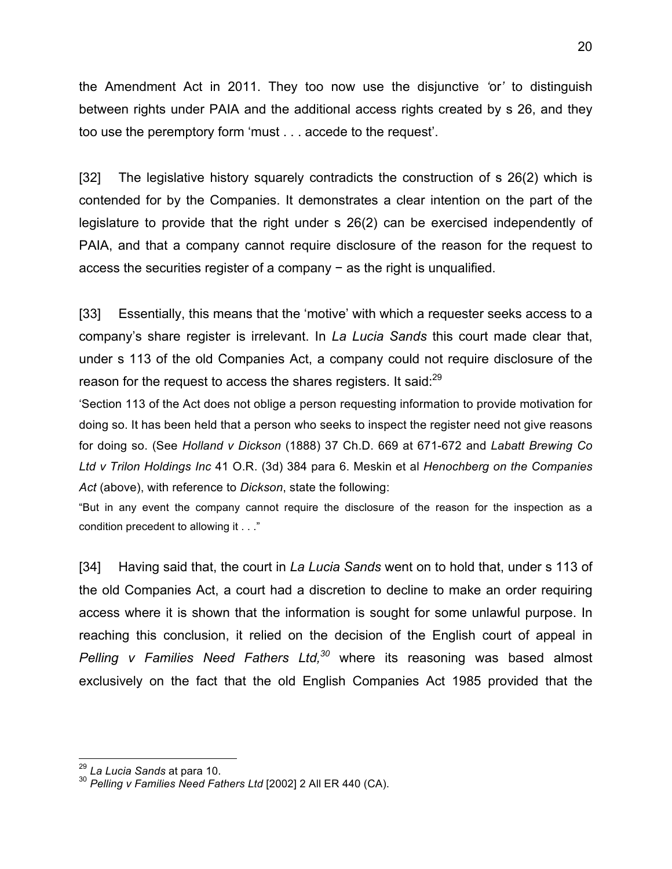the Amendment Act in 2011. They too now use the disjunctive *'*or*'* to distinguish between rights under PAIA and the additional access rights created by s 26, and they too use the peremptory form 'must . . . accede to the request'.

[32] The legislative history squarely contradicts the construction of s 26(2) which is contended for by the Companies. It demonstrates a clear intention on the part of the legislature to provide that the right under s 26(2) can be exercised independently of PAIA, and that a company cannot require disclosure of the reason for the request to access the securities register of a company − as the right is unqualified.

[33] Essentially, this means that the 'motive' with which a requester seeks access to a company's share register is irrelevant. In *La Lucia Sands* this court made clear that, under s 113 of the old Companies Act, a company could not require disclosure of the reason for the request to access the shares registers. It said: $^{29}$ 

'Section 113 of the Act does not oblige a person requesting information to provide motivation for doing so. It has been held that a person who seeks to inspect the register need not give reasons for doing so. (See *Holland v Dickson* (1888) 37 Ch.D. 669 at 671-672 and *Labatt Brewing Co Ltd v Trilon Holdings Inc* 41 O.R. (3d) 384 para 6. Meskin et al *Henochberg on the Companies Act* (above), with reference to *Dickson*, state the following:

"But in any event the company cannot require the disclosure of the reason for the inspection as a condition precedent to allowing it . . ."

[34] Having said that, the court in *La Lucia Sands* went on to hold that, under s 113 of the old Companies Act, a court had a discretion to decline to make an order requiring access where it is shown that the information is sought for some unlawful purpose. In reaching this conclusion, it relied on the decision of the English court of appeal in *Pelling v Families Need Fathers Ltd*,<sup>30</sup> where its reasoning was based almost exclusively on the fact that the old English Companies Act 1985 provided that the

<sup>&</sup>lt;sup>29</sup> La Lucia Sands at para 10.<br><sup>30</sup> Pelling v Families Need Fathers Ltd [2002] 2 All ER 440 (CA).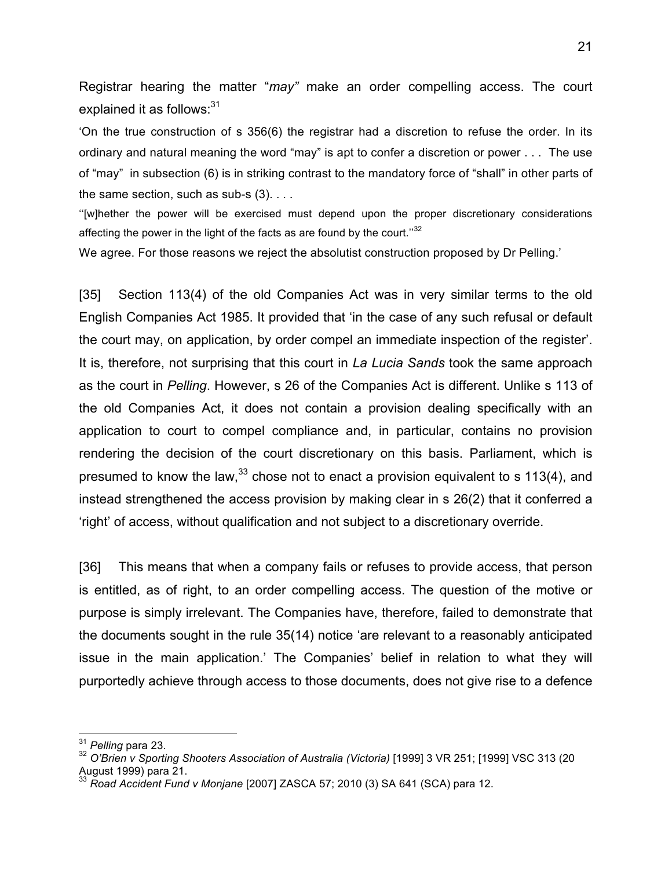Registrar hearing the matter "*may"* make an order compelling access. The court explained it as follows: $31$ 

'On the true construction of s 356(6) the registrar had a discretion to refuse the order. In its ordinary and natural meaning the word "may" is apt to confer a discretion or power . . . The use of "may" in subsection (6) is in striking contrast to the mandatory force of "shall" in other parts of the same section, such as sub-s  $(3)$ ....

''[w]hether the power will be exercised must depend upon the proper discretionary considerations affecting the power in the light of the facts as are found by the court."32

We agree. For those reasons we reject the absolutist construction proposed by Dr Pelling.'

[35] Section 113(4) of the old Companies Act was in very similar terms to the old English Companies Act 1985. It provided that 'in the case of any such refusal or default the court may, on application, by order compel an immediate inspection of the register'. It is, therefore, not surprising that this court in *La Lucia Sands* took the same approach as the court in *Pelling*. However, s 26 of the Companies Act is different. Unlike s 113 of the old Companies Act, it does not contain a provision dealing specifically with an application to court to compel compliance and, in particular, contains no provision rendering the decision of the court discretionary on this basis. Parliament, which is presumed to know the law,  $33$  chose not to enact a provision equivalent to s 113(4), and instead strengthened the access provision by making clear in s 26(2) that it conferred a 'right' of access, without qualification and not subject to a discretionary override.

[36] This means that when a company fails or refuses to provide access, that person is entitled, as of right, to an order compelling access. The question of the motive or purpose is simply irrelevant. The Companies have, therefore, failed to demonstrate that the documents sought in the rule 35(14) notice 'are relevant to a reasonably anticipated issue in the main application.' The Companies' belief in relation to what they will purportedly achieve through access to those documents, does not give rise to a defence

 <sup>31</sup> *Pelling* para 23.

<sup>&</sup>lt;sup>32</sup> O'Brien v Sporting Shooters Association of Australia (Victoria) [1999] 3 VR 251; [1999] VSC 313 (20 August 1999) para 21.

<sup>33</sup> *Road Accident Fund v Monjane* [2007] ZASCA 57; 2010 (3) SA 641 (SCA) para 12.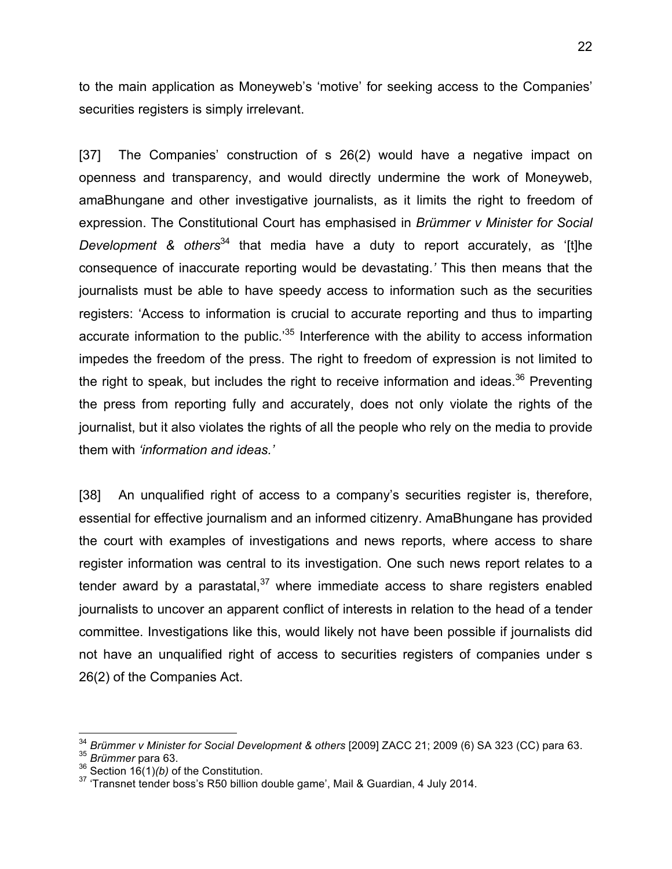to the main application as Moneyweb's 'motive' for seeking access to the Companies' securities registers is simply irrelevant.

[37] The Companies' construction of s 26(2) would have a negative impact on openness and transparency, and would directly undermine the work of Moneyweb, amaBhungane and other investigative journalists, as it limits the right to freedom of expression. The Constitutional Court has emphasised in *Brümmer v Minister for Social Development & others*<sup>34</sup> that media have a duty to report accurately, as '[t]he consequence of inaccurate reporting would be devastating.*'* This then means that the journalists must be able to have speedy access to information such as the securities registers: 'Access to information is crucial to accurate reporting and thus to imparting accurate information to the public. $35$  Interference with the ability to access information impedes the freedom of the press. The right to freedom of expression is not limited to the right to speak, but includes the right to receive information and ideas.<sup>36</sup> Preventing the press from reporting fully and accurately, does not only violate the rights of the journalist, but it also violates the rights of all the people who rely on the media to provide them with *'information and ideas.'* 

[38] An unqualified right of access to a company's securities register is, therefore, essential for effective journalism and an informed citizenry. AmaBhungane has provided the court with examples of investigations and news reports, where access to share register information was central to its investigation. One such news report relates to a tender award by a parastatal, $37$  where immediate access to share registers enabled journalists to uncover an apparent conflict of interests in relation to the head of a tender committee. Investigations like this, would likely not have been possible if journalists did not have an unqualified right of access to securities registers of companies under s 26(2) of the Companies Act.

<sup>&</sup>lt;sup>34</sup> Brümmer v Minister for Social Development & others [2009] ZACC 21; 2009 (6) SA 323 (CC) para 63.<br><sup>35</sup> Brümmer para 63.

<sup>36</sup> Section 16(1)*(b)* of the Constitution.

<sup>37</sup> 'Transnet tender boss's R50 billion double game', Mail & Guardian, 4 July 2014.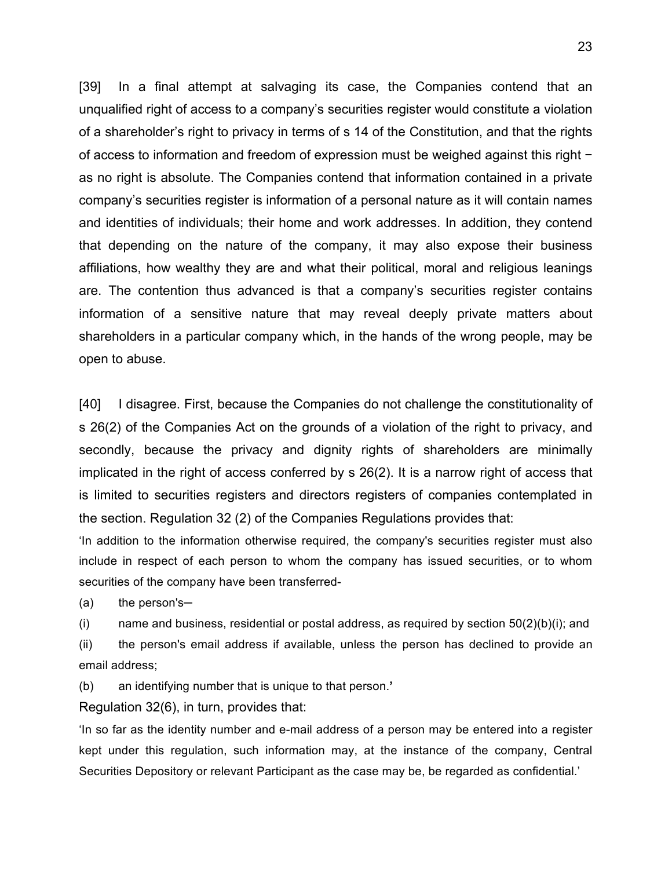[39] In a final attempt at salvaging its case, the Companies contend that an unqualified right of access to a company's securities register would constitute a violation of a shareholder's right to privacy in terms of s 14 of the Constitution, and that the rights of access to information and freedom of expression must be weighed against this right − as no right is absolute. The Companies contend that information contained in a private company's securities register is information of a personal nature as it will contain names and identities of individuals; their home and work addresses. In addition, they contend that depending on the nature of the company, it may also expose their business affiliations, how wealthy they are and what their political, moral and religious leanings are. The contention thus advanced is that a company's securities register contains information of a sensitive nature that may reveal deeply private matters about shareholders in a particular company which, in the hands of the wrong people, may be open to abuse.

[40] I disagree. First, because the Companies do not challenge the constitutionality of s 26(2) of the Companies Act on the grounds of a violation of the right to privacy, and secondly, because the privacy and dignity rights of shareholders are minimally implicated in the right of access conferred by s 26(2). It is a narrow right of access that is limited to securities registers and directors registers of companies contemplated in the section. Regulation 32 (2) of the Companies Regulations provides that:

'In addition to the information otherwise required, the company's securities register must also include in respect of each person to whom the company has issued securities, or to whom securities of the company have been transferred-

 $(a)$  the person's-

(i) name and business, residential or postal address, as required by section  $50(2)(b)(i)$ ; and

(ii) the person's email address if available, unless the person has declined to provide an email address;

(b) an identifying number that is unique to that person.**'**

Regulation 32(6), in turn, provides that:

'In so far as the identity number and e-mail address of a person may be entered into a register kept under this regulation, such information may, at the instance of the company, Central Securities Depository or relevant Participant as the case may be, be regarded as confidential.'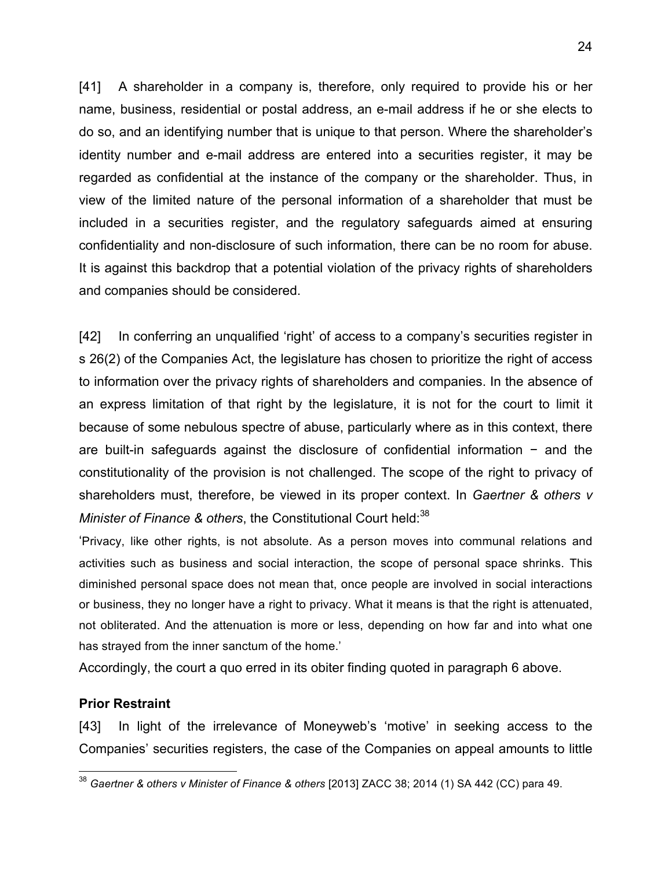[41] A shareholder in a company is, therefore, only required to provide his or her name, business, residential or postal address, an e-mail address if he or she elects to do so, and an identifying number that is unique to that person. Where the shareholder's identity number and e-mail address are entered into a securities register, it may be regarded as confidential at the instance of the company or the shareholder. Thus, in view of the limited nature of the personal information of a shareholder that must be included in a securities register, and the regulatory safeguards aimed at ensuring confidentiality and non-disclosure of such information, there can be no room for abuse. It is against this backdrop that a potential violation of the privacy rights of shareholders and companies should be considered.

[42] In conferring an unqualified 'right' of access to a company's securities register in s 26(2) of the Companies Act, the legislature has chosen to prioritize the right of access to information over the privacy rights of shareholders and companies. In the absence of an express limitation of that right by the legislature, it is not for the court to limit it because of some nebulous spectre of abuse, particularly where as in this context, there are built-in safeguards against the disclosure of confidential information − and the constitutionality of the provision is not challenged. The scope of the right to privacy of shareholders must, therefore, be viewed in its proper context. In *Gaertner & others v Minister of Finance & others, the Constitutional Court held:*<sup>38</sup>

'Privacy, like other rights, is not absolute. As a person moves into communal relations and activities such as business and social interaction, the scope of personal space shrinks. This diminished personal space does not mean that, once people are involved in social interactions or business, they no longer have a right to privacy. What it means is that the right is attenuated, not obliterated. And the attenuation is more or less, depending on how far and into what one has strayed from the inner sanctum of the home.'

Accordingly, the court a quo erred in its obiter finding quoted in paragraph 6 above.

#### **Prior Restraint**

[43] In light of the irrelevance of Moneyweb's 'motive' in seeking access to the Companies' securities registers, the case of the Companies on appeal amounts to little

 <sup>38</sup> *Gaertner & others v Minister of Finance & others* [2013] ZACC 38; 2014 (1) SA 442 (CC) para 49.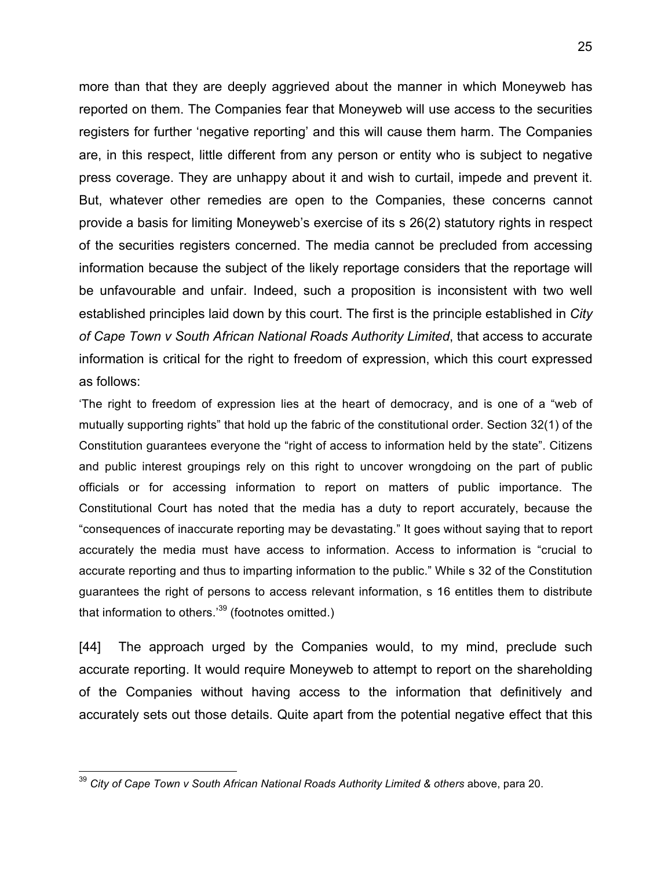more than that they are deeply aggrieved about the manner in which Moneyweb has reported on them. The Companies fear that Moneyweb will use access to the securities registers for further 'negative reporting' and this will cause them harm. The Companies are, in this respect, little different from any person or entity who is subject to negative press coverage. They are unhappy about it and wish to curtail, impede and prevent it. But, whatever other remedies are open to the Companies, these concerns cannot provide a basis for limiting Moneyweb's exercise of its s 26(2) statutory rights in respect of the securities registers concerned. The media cannot be precluded from accessing information because the subject of the likely reportage considers that the reportage will be unfavourable and unfair. Indeed, such a proposition is inconsistent with two well established principles laid down by this court. The first is the principle established in *City of Cape Town v South African National Roads Authority Limited*, that access to accurate information is critical for the right to freedom of expression, which this court expressed as follows:

'The right to freedom of expression lies at the heart of democracy, and is one of a "web of mutually supporting rights" that hold up the fabric of the constitutional order. Section 32(1) of the Constitution guarantees everyone the "right of access to information held by the state". Citizens and public interest groupings rely on this right to uncover wrongdoing on the part of public officials or for accessing information to report on matters of public importance. The Constitutional Court has noted that the media has a duty to report accurately, because the "consequences of inaccurate reporting may be devastating." It goes without saying that to report accurately the media must have access to information. Access to information is "crucial to accurate reporting and thus to imparting information to the public." While s 32 of the Constitution guarantees the right of persons to access relevant information, s 16 entitles them to distribute that information to others.<sup>39</sup> (footnotes omitted.)

[44] The approach urged by the Companies would, to my mind, preclude such accurate reporting. It would require Moneyweb to attempt to report on the shareholding of the Companies without having access to the information that definitively and accurately sets out those details. Quite apart from the potential negative effect that this

<sup>&</sup>lt;sup>39</sup> City of Cape Town v South African National Roads Authority Limited & others above, para 20.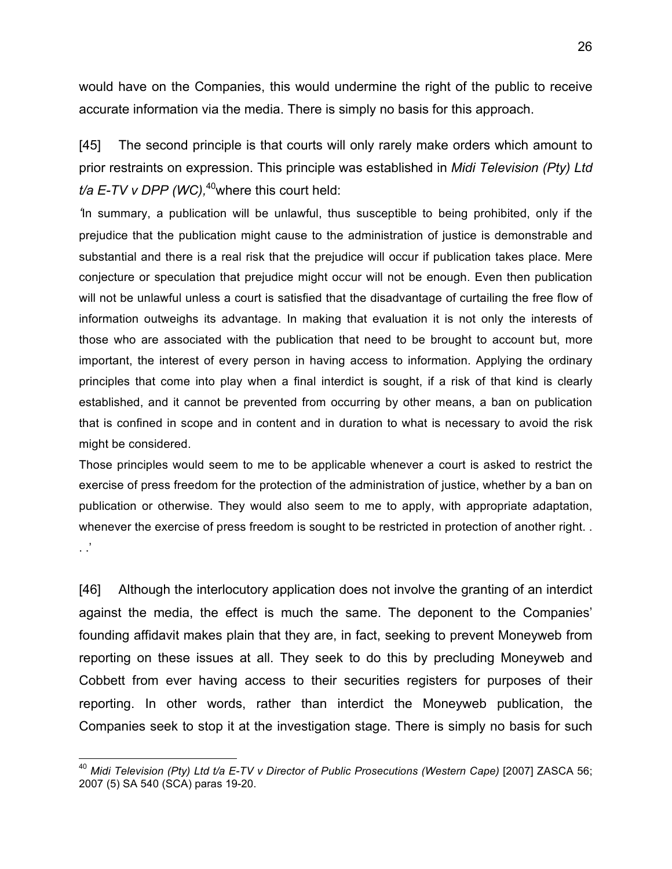would have on the Companies, this would undermine the right of the public to receive accurate information via the media. There is simply no basis for this approach.

[45] The second principle is that courts will only rarely make orders which amount to prior restraints on expression. This principle was established in *Midi Television (Pty) Ltd t/a E-TV v DPP (WC)*,<sup>40</sup>where this court held:

*'*In summary, a publication will be unlawful, thus susceptible to being prohibited, only if the prejudice that the publication might cause to the administration of justice is demonstrable and substantial and there is a real risk that the prejudice will occur if publication takes place. Mere conjecture or speculation that prejudice might occur will not be enough. Even then publication will not be unlawful unless a court is satisfied that the disadvantage of curtailing the free flow of information outweighs its advantage. In making that evaluation it is not only the interests of those who are associated with the publication that need to be brought to account but, more important, the interest of every person in having access to information. Applying the ordinary principles that come into play when a final interdict is sought, if a risk of that kind is clearly established, and it cannot be prevented from occurring by other means, a ban on publication that is confined in scope and in content and in duration to what is necessary to avoid the risk might be considered.

Those principles would seem to me to be applicable whenever a court is asked to restrict the exercise of press freedom for the protection of the administration of justice, whether by a ban on publication or otherwise. They would also seem to me to apply, with appropriate adaptation, whenever the exercise of press freedom is sought to be restricted in protection of another right. . .'

[46] Although the interlocutory application does not involve the granting of an interdict against the media, the effect is much the same. The deponent to the Companies' founding affidavit makes plain that they are, in fact, seeking to prevent Moneyweb from reporting on these issues at all. They seek to do this by precluding Moneyweb and Cobbett from ever having access to their securities registers for purposes of their reporting. In other words, rather than interdict the Moneyweb publication, the Companies seek to stop it at the investigation stage. There is simply no basis for such

 <sup>40</sup> *Midi Television (Pty) Ltd t/a E-TV v Director of Public Prosecutions (Western Cape)* [2007] ZASCA 56; 2007 (5) SA 540 (SCA) paras 19-20.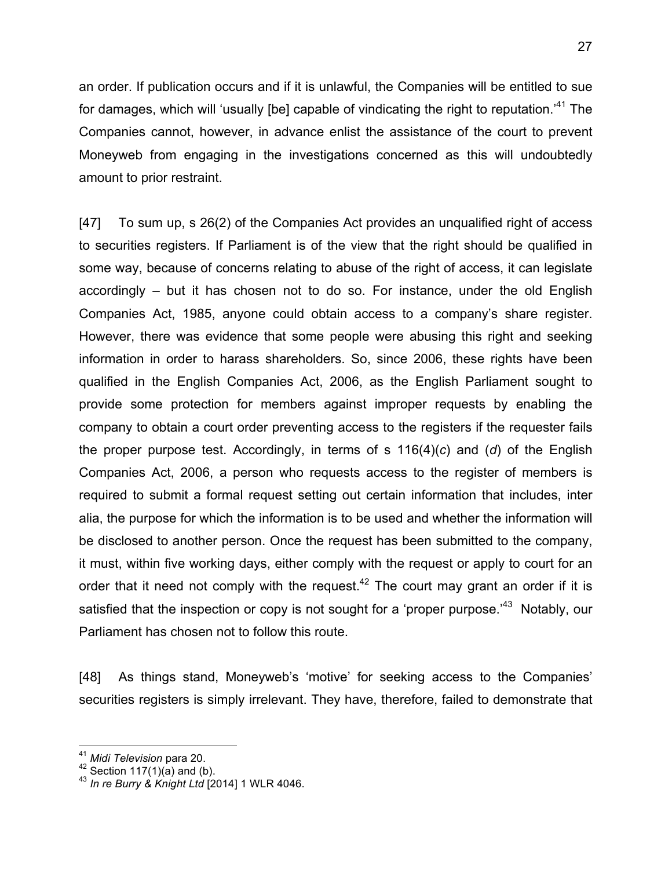27

an order. If publication occurs and if it is unlawful, the Companies will be entitled to sue for damages, which will 'usually [be] capable of vindicating the right to reputation.'41 The Companies cannot, however, in advance enlist the assistance of the court to prevent Moneyweb from engaging in the investigations concerned as this will undoubtedly amount to prior restraint.

[47] To sum up, s 26(2) of the Companies Act provides an unqualified right of access to securities registers. If Parliament is of the view that the right should be qualified in some way, because of concerns relating to abuse of the right of access, it can legislate accordingly – but it has chosen not to do so. For instance, under the old English Companies Act, 1985, anyone could obtain access to a company's share register. However, there was evidence that some people were abusing this right and seeking information in order to harass shareholders. So, since 2006, these rights have been qualified in the English Companies Act, 2006, as the English Parliament sought to provide some protection for members against improper requests by enabling the company to obtain a court order preventing access to the registers if the requester fails the proper purpose test. Accordingly, in terms of s 116(4)(*c*) and (*d*) of the English Companies Act, 2006, a person who requests access to the register of members is required to submit a formal request setting out certain information that includes, inter alia, the purpose for which the information is to be used and whether the information will be disclosed to another person. Once the request has been submitted to the company, it must, within five working days, either comply with the request or apply to court for an order that it need not comply with the request.<sup>42</sup> The court may grant an order if it is satisfied that the inspection or copy is not sought for a 'proper purpose.'<sup>43</sup> Notably, our Parliament has chosen not to follow this route.

[48] As things stand, Moneyweb's 'motive' for seeking access to the Companies' securities registers is simply irrelevant. They have, therefore, failed to demonstrate that

<sup>41</sup> *Midi Television* para 20. <sup>42</sup> Section 117(1)(a) and (b). 43 *In re Burry & Knight Ltd* [2014] 1 WLR 4046.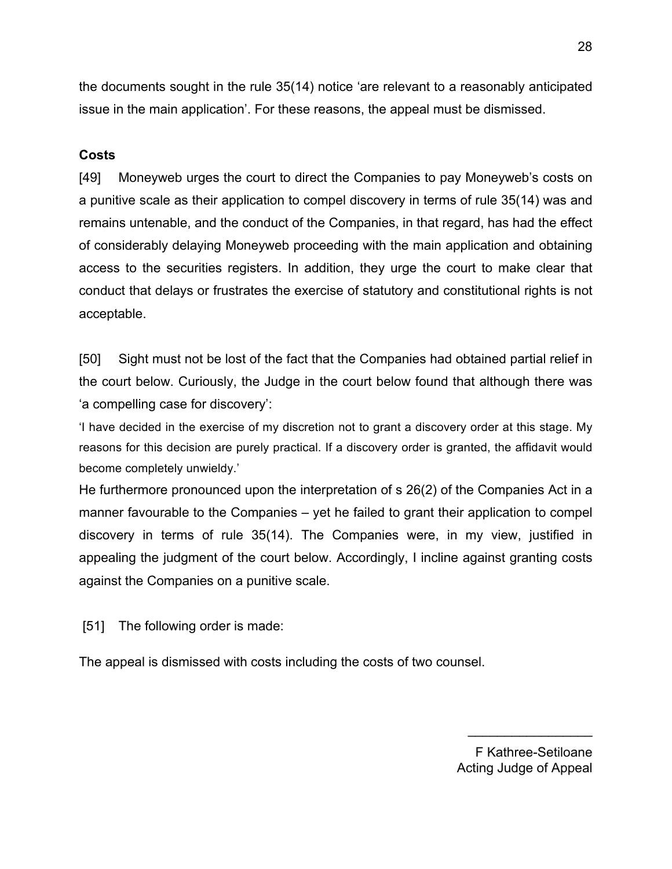the documents sought in the rule 35(14) notice 'are relevant to a reasonably anticipated issue in the main application'. For these reasons, the appeal must be dismissed.

## **Costs**

[49] Moneyweb urges the court to direct the Companies to pay Moneyweb's costs on a punitive scale as their application to compel discovery in terms of rule 35(14) was and remains untenable, and the conduct of the Companies, in that regard, has had the effect of considerably delaying Moneyweb proceeding with the main application and obtaining access to the securities registers. In addition, they urge the court to make clear that conduct that delays or frustrates the exercise of statutory and constitutional rights is not acceptable.

[50] Sight must not be lost of the fact that the Companies had obtained partial relief in the court below. Curiously, the Judge in the court below found that although there was 'a compelling case for discovery':

'I have decided in the exercise of my discretion not to grant a discovery order at this stage. My reasons for this decision are purely practical. If a discovery order is granted, the affidavit would become completely unwieldy.'

He furthermore pronounced upon the interpretation of s 26(2) of the Companies Act in a manner favourable to the Companies – yet he failed to grant their application to compel discovery in terms of rule 35(14). The Companies were, in my view, justified in appealing the judgment of the court below. Accordingly, I incline against granting costs against the Companies on a punitive scale.

[51] The following order is made:

The appeal is dismissed with costs including the costs of two counsel.

F Kathree-Setiloane Acting Judge of Appeal

 $\_$